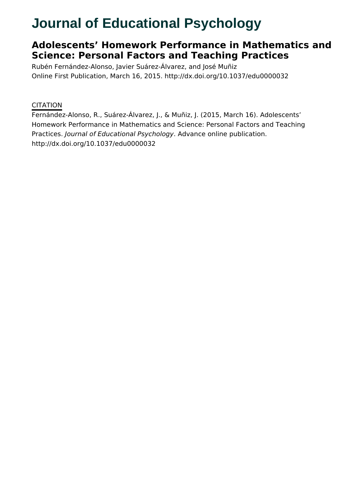# **Journal of Educational Psychology**

# **Adolescents' Homework Performance in Mathematics and Science: Personal Factors and Teaching Practices**

Rubén Fernández-Alonso, Javier Suárez-Álvarez, and José Muñiz Online First Publication, March 16, 2015. http://dx.doi.org/10.1037/edu0000032

### **CITATION**

Fernández-Alonso, R., Suárez-Álvarez, J., & Muñiz, J. (2015, March 16). Adolescents' Homework Performance in Mathematics and Science: Personal Factors and Teaching Practices. Journal of Educational Psychology. Advance online publication. http://dx.doi.org/10.1037/edu0000032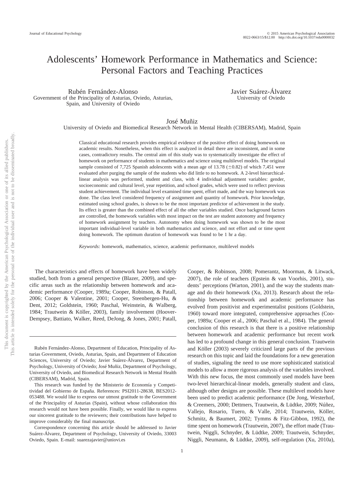## Adolescents' Homework Performance in Mathematics and Science: Personal Factors and Teaching Practices

Rubén Fernández-Alonso Government of the Principality of Asturias, Oviedo, Asturias, Spain, and University of Oviedo

Javier Suárez-Álvarez University of Oviedo

José Muñiz

University of Oviedo and Biomedical Research Network in Mental Health (CIBERSAM), Madrid, Spain

Classical educational research provides empirical evidence of the positive effect of doing homework on academic results. Nonetheless, when this effect is analyzed in detail there are inconsistent, and in some cases, contradictory results. The central aim of this study was to systematically investigate the effect of homework on performance of students in mathematics and science using multilevel models. The original sample consisted of 7,725 Spanish adolescents with a mean age of 13.78  $(\pm 0.82)$  of which 7,451 were evaluated after purging the sample of the students who did little to no homework. A 2-level hierarchicallinear analysis was performed, student and class, with 4 individual adjustment variables: gender, socioeconomic and cultural level, year repetition, and school grades, which were used to reflect previous student achievement. The individual level examined time spent, effort made, and the way homework was done. The class level considered frequency of assignment and quantity of homework. Prior knowledge, estimated using school grades, is shown to be the most important predictor of achievement in the study. Its effect is greater than the combined effect of all the other variables studied. Once background factors are controlled, the homework variables with most impact on the test are student autonomy and frequency of homework assignment by teachers. Autonomy when doing homework was shown to be the most important individual-level variable in both mathematics and science, and not effort and or time spent doing homework. The optimum duration of homework was found to be 1 hr a day.

*Keywords:* homework, mathematics, science, academic performance, multilevel models

The characteristics and effects of homework have been widely studied, both from a general perspective (Blazer, 2009), and specific areas such as the relationship between homework and academic performance (Cooper, 1989a; Cooper, Robinson, & Patall, 2006; Cooper & Valentine, 2001; Cooper, Steenbergen-Hu, & Dent, 2012; Goldstein, 1960; Paschal, Weinstein, & Walberg, 1984; Trautwein & Köller, 2003), family involvement (Hoover-Dempsey, Battiato, Walker, Reed, DeJong, & Jones, 2001; Patall,

Cooper, & Robinson, 2008; Pomerantz, Moorman, & Litwack, 2007), the role of teachers (Epstein & van Voorhis, 2001), students' perceptions (Warton, 2001), and the way the students manage and do their homework (Xu, 2013). Research about the relationship between homework and academic performance has evolved from positivist and experimentalist positions (Goldstein, 1960) toward more integrated, comprehensive approaches (Cooper, 1989a; Cooper et al., 2006; Paschal et al., 1984). The general conclusion of this research is that there is a positive relationship between homework and academic performance but recent work has led to a profound change in this general conclusion. Trautwein and Köller (2003) severely criticized large parts of the previous research on this topic and laid the foundations for a new generation of studies, signaling the need to use more sophisticated statistical models to allow a more rigorous analysis of the variables involved. With this new focus, the most commonly used models have been two-level hierarchical-linear models, generally student and class, although other designs are possible. These multilevel models have been used to predict academic performance (De Jong, Westerhof, & Creemers, 2000; Dettmers, Trautwein, & Lüdtke, 2009; Núñez, Vallejo, Rosario, Tuero, & Valle, 2014; Trautwein, Köller, Schmitz, & Baumert, 2002; Tymms & Fitz-Gibbon, 1992), the time spent on homework (Trautwein, 2007), the effort made (Trautwein, Niggli, Schnyder, & Lüdtke, 2009; Trautwein, Schnyder, Niggli, Neumann, & Lüdtke, 2009), self-regulation (Xu, 2010a),

Rubén Fernández-Alonso, Department of Education, Principality of Asturias Government, Oviedo, Asturias, Spain, and Department of Education Sciences, University of Oviedo; Javier Suárez-Álvarez, Department of Psychology, University of Oviedo; José Muñiz, Department of Psychology, University of Oviedo, and Biomedical Research Network in Mental Health (CIBERSAM), Madrid, Spain.

This research was funded by the Ministerio de Economía y Competitividad del Gobierno de España. References: PSI2011-28638, BES2012- 053488. We would like to express our utmost gratitude to the Government of the Principality of Asturias (Spain), without whose collaboration this research would not have been possible. Finally, we would like to express our sincerest gratitude to the reviewers; their contributions have helped to improve considerably the final manuscript.

Correspondence concerning this article should be addressed to Javier Suárez-Álvarez, Department of Psychology, University of Oviedo, 33003 Oviedo, Spain. E-mail: suarezajavier@uniovi.es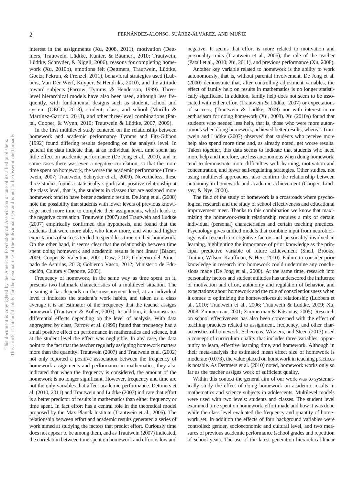interest in the assignments (Xu, 2008, 2011), motivation (Dettmers, Trautwein, Lüdtke, Kunter, & Baumert, 2010; Trautwein, Lüdtke, Schnyder, & Niggli, 2006), reasons for completing homework (Xu, 2010b), emotions felt (Dettmers, Trautwein, Lüdtke, Goetz, Pekrun, & Frenzel, 2011), behavioral strategies used (Lubbers, Van Der Werf, Kuyper, & Hendriks, 2010), and the attitude toward subjects (Farrow, Tymms, & Henderson, 1999). Threelevel hierarchical models have also been used, although less frequently, with fundamental designs such as student, school and system (OECD, 2013), student, class, and school (Murillo & Martínez-Garrido, 2013), and other three-level combinations (Pattal, Cooper, & Wynn, 2010; Trautwein & Lüdtke, 2007, 2009).

In the first multilevel study centered on the relationship between homework and academic performance Tymms and Fitz-Gibbon (1992) found differing results depending on the analysis level. In general the data indicate that, at an individual level, time spent has little effect on academic performance (De Jong et al., 2000), and in some cases there was even a negative correlation, so that the more time spent on homework, the worse the academic performance (Trautwein, 2007; Trautwein, Schnyder et al., 2009). Nevertheless, these three studies found a statistically significant, positive relationship at the class level, that is, the students in classes that are assigned more homework tend to have better academic results. De Jong et al. (2000) note the possibility that students with lower levels of previous knowledge need more time to complete their assignments, which leads to the negative correlation. Trautwein (2007) and Trautwein and Ludtke (2007) empirically confirmed this hypothesis, and found that the students that were more able, who knew more, and who had higher expectations of success tended to spend less time on their homework. On the other hand, it seems clear that the relationship between time spent doing homework and academic results is not linear (Blazer, 2009; Cooper & Valentine, 2001; Daw, 2012; Gobierno del Principado de Asturias, 2013; Gobierno Vasco, 2012; Ministerio de Educación, Cultura y Deporte, 2003).

Frequency of homework, in the same way as time spent on it, presents two hallmark characteristics of a multilevel situation. The meaning it has depends on the measurement level; at an individual level it indicates the student's work habits, and taken as a class average it is an estimator of the frequency that the teacher assigns homework (Trautwein & Köller, 2003). In addition, it demonstrates differential effects depending on the level of analysis. With data aggregated by class, Farrow et al. (1999) found that frequency had a small positive effect on performance in mathematics and science, but at the student level the effect was negligible. In any case, the data point to the fact that the teacher regularly assigning homework matters more than the quantity. Trautwein (2007) and Trautwein et al. (2002) not only reported a positive association between the frequency of homework assignments and performance in mathematics, they also indicated that when the frequency is considered, the amount of the homework is no longer significant. However, frequency and time are not the only variables that affect academic performance. Dettmers et al. (2010, 2011) and Trautwein and Lüdtke (2007) indicate that effort is a better predictor of results in mathematics than either frequency or time spent. In fact effort has a central role in the theoretical model proposed by the Max Planck Institute (Trautwein et al., 2006). The relationship between effort and academic results generated a series of work aimed at studying the factors that predict effort. Curiously time does not appear to be among them, and as Trautwein (2007) indicated, the correlation between time spent on homework and effort is low and

negative. It seems that effort is more related to motivation and personality traits (Trautwein et al., 2006), the role of the teacher (Patall et al., 2010; Xu, 2011), and previous performance (Xu, 2008).

Another key variable related to homework is the ability to work autonomously, that is, without parental involvement. De Jong et al. (2000) demonstrate that, after controlling adjustment variables, the effect of family help on results in mathematics is no longer statistically significant. In addition, family help does not seem to be associated with either effort (Trautwein & Lüdtke, 2007) or expectations of success, (Trautwein & Lüdtke, 2009) nor with interest in or enthusiasm for doing homework (Xu, 2008). Xu (2010a) found that students who needed less help, that is, those who were more autonomous when doing homework, achieved better results, whereas Trautwein and Lüdtke (2007) observed that students who receive more help also spend more time and, as already noted, get worse results. Taken together, this data seems to indicate that students who need more help and therefore, are less autonomous when doing homework, tend to demonstrate more difficulties with learning, motivation and concentration, and fewer self-regulating strategies. Other studies, not using multilevel approaches, also confirm the relationship between autonomy in homework and academic achievement (Cooper, Lindsay, & Nye, 2000).

The field of the study of homework is a crossroads where psychological research and the study of school effectiveness and educational improvement meet. Thanks to this combination we know that maximizing the homework-result relationship requires a mix of certain individual (personal) characteristics and certain teaching practices. Psychology gives unified models that combine input from neurobiology with research on cognitive factors and personality involved in learning, highlighting the importance of prior knowledge as the principal predictive variable of future achievement (Shell, Brooks, Trainin, Wilson, Kauffman, & Herr, 2010). Failure to consider prior knowledge in research into homework could undermine any conclusions made (De Jong et al., 2000). At the same time, research into personality factors and student attitudes has underscored the influence of motivation and effort, autonomy and regulation of behavior, and expectations about homework and the role of conscientiousness when it comes to optimizing the homework-result relationship (Lubbers et al., 2010; Trautwein et al., 2006; Trautwein & Ludtke, 2009; Xu, 2008; Zimmerman, 2001; Zimmerman & Kitsantas, 2005). Research on school effectiveness has also been concerned with the effect of teaching practices related to assignment, frequency, and other characteristics of homework. Scheerens, Witziers, and Steen (2013) used a concept of curriculum quality that includes three variables: opportunity to learn, effective learning time, and homework. Although in their meta-analysis the estimated mean effect size of homework is moderate (0.073), the value placed on homework in teaching practices is notable. As Dettmers et al. (2010) noted, homework works only so far as the teacher assigns work of sufficient quality.

Within this context the general aim of our work was to systematically study the effect of doing homework on academic results in mathematics and science subjects in adolescents. Multilevel models were used with two levels: students and classes. The student level examined time spent on homework, effort made and how it was done while the class level evaluated the frequency and quantity of homework set. In addition the effects of four background variables were controlled: gender, socioeconomic and cultural level, and two measures of previous academic performance (school grades and repetition of school year). The use of the latest generation hierarchical-linear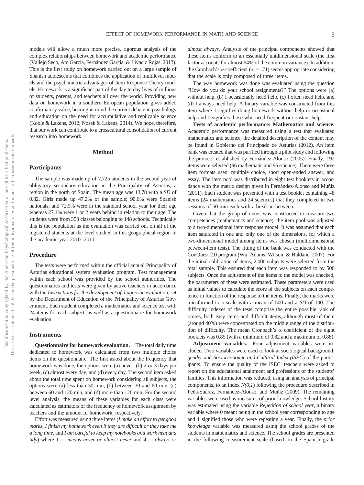models will allow a much more precise, rigorous analysis of the complex relationships between homework and academic performance (Vallejo Seco, Ato García, Fernández García, & Livacic Rojas, 2013). This is the first study on homework carried out on a large sample of Spanish adolescents that combines the application of multilevel models and the psychometric advantages of Item Response Theory models. Homework is a significant part of the day to day lives of millions of students, parents, and teachers all over the world. Providing new data on homework in a southern European population gives added confirmatory value, bearing in mind the current debate in psychology and education on the need for accumulative and replicable science (Koole & Lakens, 2012; Nosek & Lakens, 2014). We hope, therefore, that our work can contribute to a crosscultural consolidation of current research into homework.

#### **Method**

#### **Participants**

The sample was made up of 7,725 students in the second year of obligatory secondary education in the Principality of Asturias, a region in the north of Spain. The mean age was 13.78 with a *SD* of 0.82. Girls made up 47.2% of the sample; 90.6% were Spanish nationals; and 72.9% were in the standard school year for their age whereas 27.1% were 1 or 2 years behind in relation to their age. The students were from 353 classes belonging to 148 schools. Technically this is the population as the evaluation was carried out on all of the registered students at the level studied in this geographical region in the academic year 2010 –2011.

#### **Procedure**

The tests were performed within the official annual Principality of Asturias educational system evaluation program. Test management within each school was provided by the school authorities. The questionnaires and tests were given by active teachers in accordance with the *Instructions for the development of diagnostic evaluation*, set by the Department of Education of the Principality of Asturias Government. Each student completed a mathematics and science test with 24 items for each subject, as well as a questionnaire for homework evaluation.

#### **Instruments**

**Questionnaire for homework evaluation.** The total daily time dedicated to homework was calculated from two multiple choice items on the questionnaire. The first asked about the frequency that homework was done, the options were (a) never, (b) 2 or 3 days per week, (c) almost every day, and (d) every day. The second item asked about the total time spent on homework considering all subjects, the options were (a) less than 30 min, (b) between 30 and 60 min, (c) between 60 and 120 min, and (d) more than 120 min. For the second level analysis, the means of these variables for each class were calculated as estimators of the frequency of homework assignment by teachers and the amount of homework, respectively.

Effort was measured using three items (*I make an effort to get good marks*, *I finish my homework even if they are difficult or they take me a long time*, and *I am careful to keep my notebooks and work neat and tidy*) where  $1 =$  *means never or almost never* and  $4 =$  *always or*  *almost always*. Analysis of the principal components showed that these items conform to an essentially unidimensional scale (the first factor accounts for almost 64% of the common variance). In addition, the Cronbach's  $\alpha$  coefficient ( $\alpha = .71$ ) seems appropriate considering that the scale is only composed of three items.

The way homework was done was evaluated using the question "How do you do your school assignments?" The options were (a) without help, (b) I occasionally need help, (c) I often need help, and (d) I always need help. A binary variable was constructed from this item where 1 signifies doing homework without help or occasional help and 0 signifies those who need frequent or constant help.

**Tests of academic performance: Mathematics and science.** Academic performance was measured using a test that evaluated mathematics and science, the detailed description of the content may be found in Gobierno del Principado de Asturias (2012). An item bank was created that was purified through a pilot study and following the protocol established by Fernández-Alonso (2005). Finally, 192 items were selected (96 mathematic and 96 science). There were three item formats used: multiple choice, short open-ended answer, and essay. The item pool was distributed in eight test booklets in accordance with the matrix design given in Fernández-Alonso and Muñiz (2011). Each student was presented with a test booklet containing 48 items (24 mathematics and 24 sciences) that they completed in two sessions of 50 min each with a break in between.

Given that the group of items was constructed to measure two competences (mathematics and science), the item pool was adjusted to a two-dimensional item response model. It was assumed that each item saturated in one and only one of the dimensions, for which a two-dimensional model among items was chosen (multidimensional between-item tests). The fitting of the bank was conducted with the ConQuest 2.0 program (Wu, Adams, Wilson, & Haldane, 2007). For the initial calibration of items, 2,000 subjects were selected from the total sample. This ensured that each item was responded to by 500 subjects. Once the adjustment of the items to the model was checked, the parameters of these were estimated. These parameters were used as initial values to calculate the score of the subjects on each competence in function of the response to the items. Finally, the marks were transformed to a scale with a mean of 500 and a *SD* of 100. The difficulty indexes of the tests comprise the entire possible rank of scores, both easy items and difficult items, although most of them (around 40%) were concentrated on the middle range of the distribution of difficulty. The mean Cronbach's  $\alpha$  coefficient of the eight booklets was 0.85 (with a minimum of 0.82 and a maximum of 0.88).

**Adjustment variables.** Four adjustment variables were included. Two variables were used to look at sociological background: *gender* and *Socioeconomic and Cultural Index (ISEC*) of the participants. To ensure the quality of the ISEC, teachers were asked to report on the educational attainment and professions of the students' families. This information was reduced, using an analysis of principal components, to an index *N(0,1*) following the procedure described in Peña-Suárez, Fernández-Alonso, and Muñiz (2009). The remaining variables were used as measures of prior knowledge. School history was estimated using the variable *Repetition of school year*, a binary variable where 0 meant being in the school year corresponding to age and 1 signified those who were repeating a year. Finally, the *prior knowledge* variable was measured using the school grades of the students in mathematics and science. The school grades are presented in the following measurement scale (based on the Spanish grade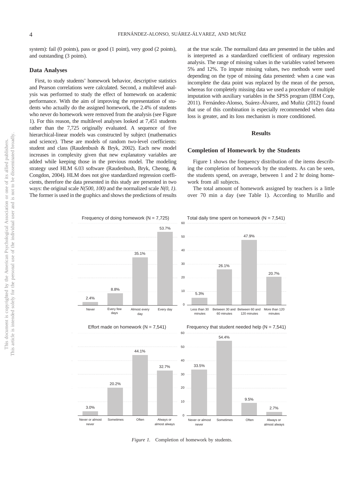system): fail (0 points), pass or good (1 point), very good (2 points), and outstanding (3 points).

#### **Data Analyses**

First, to study students' homework behavior, descriptive statistics and Pearson correlations were calculated. Second, a multilevel analysis was performed to study the effect of homework on academic performance. With the aim of improving the representation of students who actually do the assigned homework, the 2.4% of students who never do homework were removed from the analysis (see Figure 1). For this reason, the multilevel analyses looked at 7,451 students rather than the 7,725 originally evaluated. A sequence of five hierarchical-linear models was constructed by subject (mathematics and science). These are models of random two-level coefficients: student and class (Raudenbush & Bryk, 2002). Each new model increases in complexity given that new explanatory variables are added while keeping those in the previous model. The modeling strategy used HLM 6.03 software (Raudenbush, Bryk, Cheong, & Congdon, 2004). HLM does not give standardized regression coefficients, therefore the data presented in this study are presented in two ways: the original scale *N(500, 100)* and the normalized scale *N(0, 1)*. The former is used in the graphics and shows the predictions of results at the true scale. The normalized data are presented in the tables and is interpreted as a standardized coefficient of ordinary regression analysis. The range of missing values in the variables varied between 5% and 12%. To impute missing values, two methods were used depending on the type of missing data presented: when a case was incomplete the data point was replaced by the mean of the person, whereas for completely missing data we used a procedure of multiple imputation with auxiliary variables in the SPSS program (IBM Corp, 2011). Fernández-Alonso, Suárez-Álvarez, and Muñiz (2012) found that use of this combination is especially recommended when data loss is greater, and its loss mechanism is more conditioned.

#### **Results**

#### **Completion of Homework by the Students**

Figure 1 shows the frequency distribution of the items describing the completion of homework by the students. As can be seen, the students spend, on average, between 1 and 2 hr doing homework from all subjects.

The total amount of homework assigned by teachers is a little over 70 min a day (see Table 1). According to Murillo and



*Figure 1.* Completion of homework by students.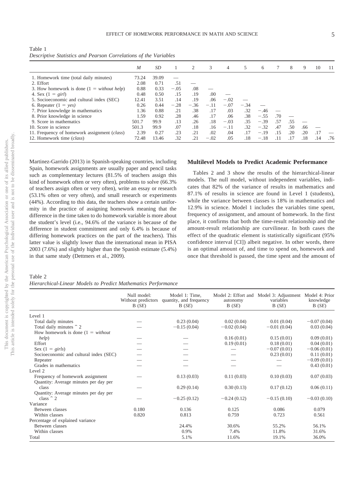Table 1 *Descriptive Statistics and Pearson Correlations of the Variables*

|                                              | M     | SD    |        | 2      | 3      | 4      | 5      | 6      |     | 8   | 9   | 10  | -11 |
|----------------------------------------------|-------|-------|--------|--------|--------|--------|--------|--------|-----|-----|-----|-----|-----|
| 1. Homework time (total daily minutes)       | 73.24 | 39.09 |        |        |        |        |        |        |     |     |     |     |     |
| 2. Effort                                    | 2.08  | 0.71  | .51    |        |        |        |        |        |     |     |     |     |     |
| 3. How homework is done $(1 = without help)$ | 0.88  | 0.33  | $-.05$ | .08    |        |        |        |        |     |     |     |     |     |
| 4. Sex $(1 = girl)$                          | 0.48  | 0.50  | .15    | .19    | .00    |        |        |        |     |     |     |     |     |
| 5. Socioeconomic and cultural index (SEC)    | 12.41 | 3.51  | .14    | .19    | .06    | $-.02$ |        |        |     |     |     |     |     |
| 6. Repeater $(1 = \text{ves})$               | 0.26  | 0.44  | $-.28$ | $-.36$ | $-.11$ | $-.07$ | $-.34$ |        |     |     |     |     |     |
| 7. Prior knowledge in mathematics            | 1.36  | 0.88  | .21    | .38    | .17    | .03    | .32    | $-.46$ |     |     |     |     |     |
| 8. Prior knowledge in science                | 1.59  | 0.92  | .28    | .46    | .17    | .06    | .38    | $-.55$ | .70 |     |     |     |     |
| 9. Score in mathematics                      | 501.7 | 99.9  | .13    | .26    | .18    | $-.03$ | .35    | $-.39$ | .57 | .55 |     |     |     |
| 10. Score in science                         | 501.3 | 99.9  | .07    | .18    | .16    | $-.11$ | .32    | $-.32$ | .47 | .50 | .66 |     |     |
| 11. Frequency of homework assignment (class) | 2.39  | 0.27  | .23    | .21    | .02    | .04    | .17    | $-.19$ | .15 | .20 | .20 | .17 |     |
| 12. Homework time (class)                    | 72.48 | 13.46 | .32    | .21    | $-.02$ | .05    | .18    | $-.18$ | .11 | .17 | .18 | .14 | .76 |

Martinez-Garrido (2013) in Spanish-speaking countries, including Spain, homework assignments are usually paper and pencil tasks such as complementary lectures (81.5% of teachers assign this kind of homework often or very often), problems to solve (66.3% of teachers assign often or very often), write an essay or research (53.1% often or very often), and small research or experiments (44%). According to this data, the teachers show a certain uniformity in the practice of assigning homework meaning that the difference in the time taken to do homework variable is more about the student's level (i.e., 94.6% of the variance is because of the difference in student commitment and only 6.4% is because of differing homework practices on the part of the teachers). This latter value is slightly lower than the international mean in PISA 2003 (7.6%) and slightly higher than the Spanish estimate (5.4%) in that same study (Dettmers et al., 2009).

#### Table 2 *Hierarchical-Linear Models to Predict Mathematics Performance*

#### **Multilevel Models to Predict Academic Performance**

Tables 2 and 3 show the results of the hierarchical-linear models. The null model, without independent variables, indicates that 82% of the variance of results in mathematics and 87.1% of results in science are found in Level 1 (students), while the variance between classes is 18% in mathematics and 12.9% in science. Model 1 includes the variables time spent, frequency of assignment, and amount of homework. In the first place, it confirms that both the time-result relationship and the amount-result relationship are curvilinear. In both cases the effect of the quadratic element is statistically significant (95% confidence interval [CI]) albeit negative. In other words, there is an optimal amount of, and time to spend on, homework and once that threshold is passed, the time spent and the amount of

|                                        | Null model:<br>Without predictors<br>B(SE) | Model 1: Time,<br>quantity, and frequency<br>B(SE) | autonomy<br>B(SE) | Model 2: Effort and Model 3: Adjustment Model 4: Prior<br>variables<br>B(SE) | knowledge<br>B(SE) |
|----------------------------------------|--------------------------------------------|----------------------------------------------------|-------------------|------------------------------------------------------------------------------|--------------------|
| Level 1                                |                                            |                                                    |                   |                                                                              |                    |
| Total daily minutes                    |                                            | 0.23(0.04)                                         | 0.02(0.04)        | 0.01(0.04)                                                                   | $-0.07(0.04)$      |
| Total daily minutes $\hat{ }$ 2        |                                            | $-0.15(0.04)$                                      | $-0.02(0.04)$     | $-0.01(0.04)$                                                                | 0.03(0.04)         |
| How homework is done $(1 = without)$   |                                            |                                                    |                   |                                                                              |                    |
| help)                                  |                                            |                                                    | 0.16(0.01)        | 0.15(0.01)                                                                   | 0.09(0.01)         |
| Effort                                 |                                            |                                                    | 0.19(0.01)        | 0.18(0.01)                                                                   | 0.04(0.01)         |
| Sex $(1 = girls)$                      |                                            |                                                    |                   | $-0.07(0.01)$                                                                | $-0.06(0.01)$      |
| Socioeconomic and cultural index (SEC) |                                            |                                                    |                   | 0.23(0.01)                                                                   | 0.11(0.01)         |
| Repeater                               |                                            |                                                    |                   |                                                                              | $-0.09(0.01)$      |
| Grades in mathematics                  |                                            |                                                    |                   |                                                                              | 0.43(0.01)         |
| Level 2                                |                                            |                                                    |                   |                                                                              |                    |
| Frequency of homework assignment       |                                            | 0.13(0.03)                                         | 0.11(0.03)        | 0.10(0.03)                                                                   | 0.07(0.03)         |
| Quantity: Average minutes per day per  |                                            |                                                    |                   |                                                                              |                    |
| class                                  |                                            | 0.29(0.14)                                         | 0.30(0.13)        | 0.17(0.12)                                                                   | 0.06(0.11)         |
| Quantity: Average minutes per day per  |                                            |                                                    |                   |                                                                              |                    |
| class $\hat{c}$ 2                      |                                            | $-0.25(0.12)$                                      | $-0.24(0.12)$     | $-0.15(0.10)$                                                                | $-0.03(0.10)$      |
| Variance                               |                                            |                                                    |                   |                                                                              |                    |
| Between classes                        | 0.180                                      | 0.136                                              | 0.125             | 0.086                                                                        | 0.079              |
| Within classes                         | 0.820                                      | 0.813                                              | 0.759             | 0.723                                                                        | 0.561              |
| Percentage of explained variance       |                                            |                                                    |                   |                                                                              |                    |
| Between classes                        |                                            | 24.4%                                              | 30.6%             | 55.2%                                                                        | 56.1%              |
| Within classes                         |                                            | 0.9%                                               | 7.4%              | 11.8%                                                                        | 31.6%              |
| Total                                  |                                            | 5.1%                                               | 11.6%             | 19.1%                                                                        | 36.0%              |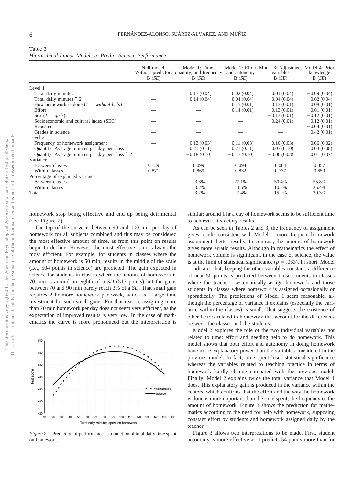| Table 3                                                   |  |  |
|-----------------------------------------------------------|--|--|
| Hierarchical-Linear Models to Predict Science Performance |  |  |

|                                                 | Null model:<br>B(SE) | Model 1: Time,<br>Without predictors quantity, and frequency<br>B(SE) | and autonomy<br>B(SE) | Model 2: Effort Model 3: Adjustment Model 4: Prior<br>variables<br>B(SE) | knowledge<br>B(SE) |
|-------------------------------------------------|----------------------|-----------------------------------------------------------------------|-----------------------|--------------------------------------------------------------------------|--------------------|
| Level 1                                         |                      |                                                                       |                       |                                                                          |                    |
| Total daily minutes                             |                      | 0.17(0.04)                                                            | 0.02(0.04)            | 0.01(0.04)                                                               | $-0.09(0.04)$      |
| Total daily minutes $\hat{ }$ 2                 |                      | $-0.14(0.04)$                                                         | $-0.04(0.04)$         | $-0.04(0.04)$                                                            | 0.02(0.04)         |
| How homework is done $(I = without help)$       |                      |                                                                       | 0.15(0.01)            | 0.13(0.01)                                                               | 0.08(0.01)         |
| Effort                                          |                      |                                                                       | 0.14(0.01)            | 0.13(0.01)                                                               | $-0.01(0.01)$      |
| Sex $(1 = girls)$                               |                      |                                                                       |                       | $-0.13(0.01)$                                                            | $-0.12(0.01)$      |
| Socioeconomic and cultural index (SEC)          |                      |                                                                       |                       | 0.24(0.01)                                                               | 0.12(0.01)         |
| Repeater                                        |                      |                                                                       |                       |                                                                          | $-0.04(0.01)$      |
| Grades in science                               |                      |                                                                       |                       |                                                                          | 0.42(0.01)         |
| Level 2                                         |                      |                                                                       |                       |                                                                          |                    |
| Frequency of homework assignment                |                      | 0.13(0.03)                                                            | 0.11(0.03)            | 0.10(0.03)                                                               | 0.06(0.02)         |
| Quantity: Average minutes per day per class     |                      | 0.21(0.11)                                                            | 0.21(0.11)            | 0.07(0.10)                                                               | 0.03(0.08)         |
| Quantity: Average minutes per day per class ^ 2 |                      | $-0.18(0.10)$                                                         | $-0.17(0.10)$         | $-0.06(0.08)$                                                            | 0.01(0.07)         |
| Variance                                        |                      |                                                                       |                       |                                                                          |                    |
| Between classes                                 | 0.129                | 0.099                                                                 | 0.094                 | 0.064                                                                    | 0.057              |
| Within classes                                  | 0.871                | 0.869                                                                 | 0.832                 | 0.777                                                                    | 0.650              |
| Percentage of explained variance                |                      |                                                                       |                       |                                                                          |                    |
| Between classes                                 |                      | 23.3%                                                                 | 27.1%                 | 50.4%                                                                    | 55.8%              |
| Within classes                                  |                      | 0.2%                                                                  | 4.5%                  | 10.8%                                                                    | 25.4%              |
| Total                                           |                      | 3.2%                                                                  | 7.4%                  | 15.9%                                                                    | 29.3%              |

homework stop being effective and end up being detrimental (see Figure 2).

The top of the curve is between 90 and 100 min per day of homework for all subjects combined and this may be considered the most effective amount of time, as from this point on results begin to decline. However, the most effective is not always the most efficient. For example, for students in classes where the amount of homework is 50 min, results in the middle of the scale (i.e., 504 points in science) are predicted. The gain expected in science for students in classes where the amount of homework is 70 min is around an eighth of a *SD* (517 points) but the gains between 70 and 90 min barely reach 3% of a *SD*. That small gain requires 2 hr more homework per week, which is a large time investment for such small gains. For that reason, assigning more than 70 min homework per day does not seem very efficient, as the expectation of improved results is very low. In the case of mathematics the curve is more pronounced but the interpretation is



*Figure 2.* Prediction of performance as a function of total daily time spent on homework.

similar: around 1 hr a day of homework seems to be sufficient time to achieve satisfactory results.

As can be seen in Tables 2 and 3, the frequency of assignment gives results consistent with Model 1: more frequent homework assignment, better results. In contrast, the amount of homework gives more erratic results. Although in mathematics the effect of homework volume is significant, in the case of science, the value is at the limit of statistical significance ( $p = .063$ ). In short, Model 1 indicates that, keeping the other variables constant, a difference of near 50 points is predicted between those students in classes where the teachers systematically assign homework and those students in classes where homework is assigned occasionally or sporadically. The predictions of Model 1 seem reasonable, although the percentage of variance it explains (especially the variance within the classes) is small. That suggests the existence of other factors related to homework that account for the differences between the classes and the students.

Model 2 explores the role of the two individual variables not related to time: effort and needing help to do homework. This model shows that both effort and autonomy in doing homework have more explanatory power than the variables considered in the previous model. In fact, time spent loses statistical significance whereas the variables related to teaching practice in terms of homework hardly change compared with the previous model. Finally, Model 2 explains twice the total variance that Model 1 does. This explanatory gain is produced in the variance within the centers, which confirms that the effort and the way the homework is done is more important than the time spent, the frequency or the amount of homework. Figure 3 shows the prediction for mathematics according to the need for help with homework, supposing constant effort by students and homework assigned daily by the teacher.

Figure 3 allows two interpretations to be made. First, student autonomy is more effective as it predicts 54 points more than for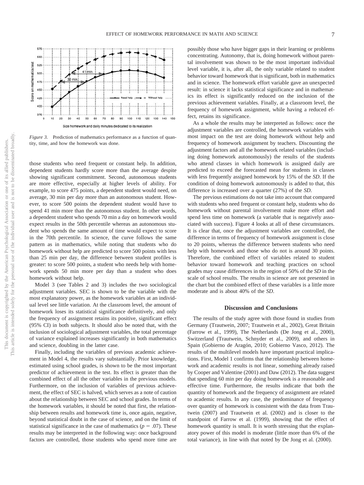

*Figure 3.* Prediction of mathematics performance as a function of quantity, time, and how the homework was done.

those students who need frequent or constant help. In addition, dependent students hardly score more than the average despite showing significant commitment. Second, autonomous students are more effective, especially at higher levels of ability. For example, to score 475 points, a dependent student would need, on average, 30 min per day more than an autonomous student. However, to score 500 points the dependent student would have to spend 41 min more than the autonomous student. In other words, a dependent student who spends 70 min a day on homework would expect results in the 50th percentile whereas an autonomous student who spends the same amount of time would expect to score in the 70th percentile. In science, the curve follows the same pattern as in mathematics, while noting that students who do homework without help are predicted to score 500 points with less than 25 min per day, the difference between student profiles is greater: to score 500 points, a student who needs help with homework spends 50 min more per day than a student who does homework without help.

Model 3 (see Tables 2 and 3) includes the two sociological adjustment variables. SEC is shown to be the variable with the most explanatory power, as the homework variables at an individual level see little variation. At the classroom level, the amount of homework loses its statistical significance definitively, and only the frequency of assignment retains its positive, significant effect (95% CI) in both subjects. It should also be noted that, with the inclusion of sociological adjustment variables, the total percentage of variance explained increases significantly in both mathematics and science, doubling in the latter case.

Finally, including the variables of previous academic achievement in Model 4, the results vary substantially. Prior knowledge, estimated using school grades, is shown to be the most important predictor of achievement in the test. Its effect is greater than the combined effect of all the other variables in the previous models. Furthermore, on the inclusion of variables of previous achievement, the effect of SEC is halved, which serves as a note of caution about the relationship between SEC and school grades. In terms of the homework variables, it should be noted that first, the relationship between results and homework time is, once again, negative, beyond statistical doubt in the case of science, and on the limit of statistical significance in the case of mathematics ( $p = .07$ ). These results may be interpreted in the following way: once background factors are controlled, those students who spend more time are possibly those who have bigger gaps in their learning or problems concentrating. Autonomy, that is, doing homework without parental involvement was shown to be the most important individual level variable, it is, after all, the only variable related to student behavior toward homework that is significant, both in mathematics and in science. The homework effort variable gave an unexpected result: in science it lacks statistical significance and in mathematics its effect is significantly reduced on the inclusion of the previous achievement variables. Finally, at a classroom level, the frequency of homework assignment, while having a reduced effect, retains its significance.

As a whole the results may be interpreted as follows: once the adjustment variables are controlled, the homework variables with most impact on the test are doing homework without help and frequency of homework assignment by teachers. Discounting the adjustment factors and all the homework related variables (including doing homework autonomously) the results of the students who attend classes in which homework is assigned daily are predicted to exceed the forecasted mean for students in classes with less frequently assigned homework by 15% of the *SD*. If the condition of doing homework autonomously is added to that, this difference is increased over a quarter (27%) of the *SD*.

The previous estimations do not take into account that compared with students who need frequent or constant help, students who do homework without parental involvement make more effort and spend less time on homework (a variable that is negatively associated with success). Figure 4 looks at all of these circumstances. It is clear that, once the adjustment variables are controlled, the difference in terms of frequency of homework assignment is close to 20 points, whereas the difference between students who need help with homework and those who do not is around 30 points. Therefore, the combined effect of variables related to student behavior toward homework and teaching practices on school grades may cause differences in the region of 50% of the *SD* in the scale of school results. The results in science are not presented in the chart but the combined effect of these variables is a little more moderate and is about 40% of the *SD*.

#### **Discussion and Conclusions**

The results of the study agree with those found in studies from Germany (Trautwein, 2007; Trautwein et al., 2002), Great Britain (Farrow et al., 1999), The Netherlands (De Jong et al., 2000), Switzerland (Trautwein, Schnyder et al., 2009), and others in Spain (Gobierno de Aragón, 2010; Gobierno Vasco, 2012). The results of the multilevel models have important practical implications. First, Model 1 confirms that the relationship between homework and academic results is not linear, something already raised by Cooper and Valentine (2001) and Daw (2012). The data suggest that spending 60 min per day doing homework is a reasonable and effective time. Furthermore, the results indicate that both the quantity of homework and the frequency of assignment are related to academic results. In any case, the predominance of frequency over quantity of homework is consistent with the data from Trautwein (2007) and Trautwein et al. (2002) and is closer to the standpoint of Farrow et al. (1999), showing that the effect of homework quantity is small. It is worth stressing that the explanatory power of this model is moderate (little more than 6% of the total variance), in line with that noted by De Jong et al. (2000).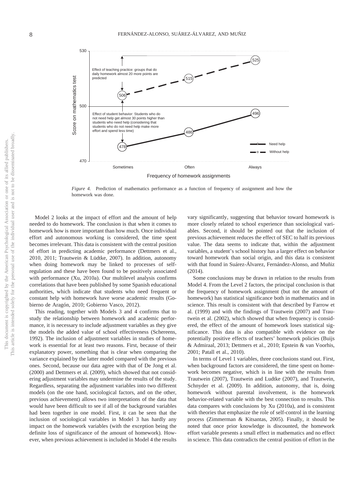

*Figure 4.* Prediction of mathematics performance as a function of frequency of assignment and how the homework was done.

Model 2 looks at the impact of effort and the amount of help needed to do homework. The conclusion is that when it comes to homework how is more important than how much. Once individual effort and autonomous working is considered, the time spent becomes irrelevant. This data is consistent with the central position of effort in predicting academic performance (Dettmers et al., 2010, 2011; Trautwein & Lüdtke, 2007). In addition, autonomy when doing homework may be linked to processes of selfregulation and these have been found to be positively associated with performance (Xu, 2010a). Our multilevel analysis confirms correlations that have been published by some Spanish educational authorities, which indicate that students who need frequent or constant help with homework have worse academic results (Gobierno de Aragón, 2010; Gobierno Vasco, 2012).

This reading, together with Models 3 and 4 confirms that to study the relationship between homework and academic performance, it is necessary to include adjustment variables as they give the models the added value of school effectiveness (Schereens, 1992). The inclusion of adjustment variables in studies of homework is essential for at least two reasons. First, because of their explanatory power, something that is clear when comparing the variance explained by the latter model compared with the previous ones. Second, because our data agree with that of De Jong et al. (2000) and Dettmers et al. (2009), which showed that not considering adjustment variables may undermine the results of the study. Regardless, separating the adjustment variables into two different models (on the one hand, sociological factors, and on the other, previous achievement) allows two interpretations of the data that would have been difficult to see if all of the background variables had been together in one model. First, it can be seen that the inclusion of sociological variables in Model 3 has hardly any impact on the homework variables (with the exception being the definite loss of significance of the amount of homework). However, when previous achievement is included in Model 4 the results

vary significantly, suggesting that behavior toward homework is more closely related to school experience than sociological variables. Second, it should be pointed out that the inclusion of previous achievement reduces the effect of SEC to half its previous value. The data seems to indicate that, within the adjustment variables, a student's school history has a larger effect on behavior toward homework than social origin, and this data is consistent with that found in Suárez-Álvarez, Fernández-Alonso, and Muñiz (2014).

Some conclusions may be drawn in relation to the results from Model 4. From the Level 2 factors, the principal conclusion is that the frequency of homework assignment (but not the amount of homework) has statistical significance both in mathematics and in science. This result is consistent with that described by Farrow et al. (1999) and with the findings of Trautwein (2007) and Trautwein et al. (2002), which showed that when frequency is considered, the effect of the amount of homework loses statistical significance. This data is also compatible with evidence on the potentially positive effects of teachers' homework policies (Buijs & Admiraal, 2013; Dettmers et al., 2010; Epstein & van Voorhis, 2001; Patall et al., 2010).

In terms of Level 1 variables, three conclusions stand out. First, when background factors are considered, the time spent on homework becomes negative, which is in line with the results from Trautwein (2007), Trautwein and Ludtke (2007), and Trautwein, Schnyder et al. (2009). In addition, autonomy, that is, doing homework without parental involvement, is the homework behavior-related variable with the best connection to results. This data compares with conclusions by Xu (2010a), and is consistent with theories that emphasize the role of self-control in the learning process (Zimmerman & Kitsantas, 2005). Finally, it should be noted that once prior knowledge is discounted, the homework effort variable presents a small effect in mathematics and no effect in science. This data contradicts the central position of effort in the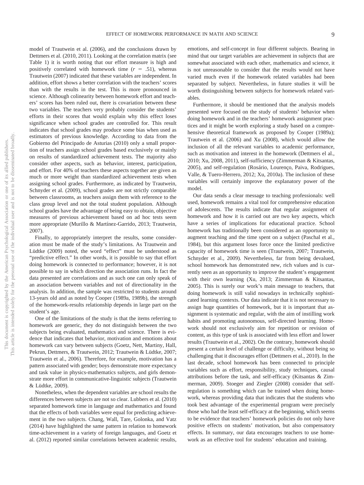model of Trautwein et al. (2006), and the conclusions drawn by Dettmers et al. (2010, 2011). Looking at the correlation matrix (see Table 1) it is worth noting that our effort measure is high and positively correlated with homework time  $(r = .51)$ , whereas Trautwein (2007) indicated that these variables are independent. In addition, effort shows a better correlation with the teachers' scores than with the results in the test. This is more pronounced in science. Although colinearity between homework effort and teachers' scores has been ruled out, there is covariation between these two variables. The teachers very probably consider the students' efforts in their scores that would explain why this effect loses significance when school grades are controlled for. This result indicates that school grades may produce some bias when used as estimators of previous knowledge. According to data from the Gobierno del Principado de Asturias (2010) only a small proportion of teachers assign school grades based exclusively or mainly on results of standardized achievement tests. The majority also consider other aspects, such as behavior, interest, participation, and effort. For 40% of teachers these aspects together are given as much or more weight than standardized achievement tests when assigning school grades. Furthermore, as indicated by Trautwein, Schnyder et al. (2009), school grades are not strictly comparable between classrooms, as teachers assign them with reference to the class group level and not the total student population. Although school grades have the advantage of being easy to obtain, objective measures of previous achievement based on ad hoc tests seem more appropriate (Murillo & Martínez-Garrido, 2013; Trautwein, 2007).

Finally, to appropriately interpret the results, some consideration must be made of the study's limitations. As Trautwein and Lüdtke (2009) noted, the word "effect" must be understood as "predictive effect." In other words, it is possible to say that effort doing homework is connected to performance; however, it is not possible to say in which direction the association runs. In fact the data presented are correlations and as such one can only speak of an association between variables and not of directionality in the analysis. In addition, the sample was restricted to students around 13-years old and as noted by Cooper (1989a, 1989b), the strength of the homework-results relationship depends in large part on the student's age.

One of the limitations of the study is that the items referring to homework are generic, they do not distinguish between the two subjects being evaluated, mathematics and science. There is evidence that indicates that behavior, motivation and emotions about homework can vary between subjects (Goetz, Nett, Martiny, Hall, Pekrun, Dettmers, & Trautwein, 2012; Trautwein & Lüdtke, 2007; Trautwein et al., 2006). Therefore, for example, motivation has a pattern associated with gender; boys demonstrate more expectancy and task value in physics-mathematics subjects, and girls demonstrate more effort in communicative-linguistic subjects (Trautwein & Lüdtke, 2009).

Nonetheless, when the dependent variables are school results the differences between subjects are not so clear. Lubbers et al. (2010) separated homework time in language and mathematics and found that the effects of both variables were equal for predicting achievement in the two subjects. Chang, Wall, Tare, Golonka, and Vatz (2014) have highlighted the same pattern in relation to homework time-achievement in a variety of foreign languages, and Goetz et al. (2012) reported similar correlations between academic results,

emotions, and self-concept in four different subjects. Bearing in mind that our target variables are achievement in subjects that are somewhat associated with each other, mathematics and science, it is not unreasonable to consider that the results would not have varied much even if the homework related variables had been separated by subject. Nevertheless, in future studies it will be worth distinguishing between subjects for homework related variables.

Furthermore, it should be mentioned that the analysis models presented were focused on the study of students' behavior when doing homework and in the teachers' homework assignment practices and it might be worth exploring a study based on a comprehensive theoretical framework as proposed by Cooper (1989a); Trautwein et al. (2006) and Xu (2008), which would allow the inclusion of all the relevant variables to academic performance, such as motivation and interest in the homework (Dettmers el al., 2010; Xu, 2008, 2011), self-sufficiency (Zimmerman & Kitsantas, 2005), and self-regulation (Rosário, Lourenço, Paiva, Rodrigues, Valle, & Tuero-Herrero, 2012; Xu, 2010a). The inclusion of these variables will certainly improve the explanatory power of the model.

Our data sends a clear message to teaching professionals: well used, homework remains a vital tool for comprehensive education of adolescents. The results indicate that regular assignment of homework and how it is carried out are two key aspects, which have a series of implications for educational practice. School homework has traditionally been considered as an opportunity to augment teaching and the time spent on a subject (Paschal et al., 1984), but this argument loses force once the limited predictive capacity of homework time is seen (Trautwein, 2007; Trautwein, Schnyder et al., 2009). Nevertheless, far from being devalued, school homework has demonstrated new, rich values and is currently seen as an opportunity to improve the student's engagement with their own learning (Xu, 2013; Zimmerman & Kitsantas, 2005). This is surely our work's main message to teachers, that doing homework is still valid nowadays in technically sophisticated learning contexts. Our data indicate that it is not necessary to assign huge quantities of homework, but it is important that assignment is systematic and regular, with the aim of instilling work habits and promoting autonomous, self-directed learning. Homework should not exclusively aim for repetition or revision of content, as this type of task is associated with less effort and lower results (Trautwein et al., 2002). On the contrary, homework should present a certain level of challenge or difficulty, without being so challenging that it discourages effort (Dettmers et al., 2010). In the last decade, school homework has been connected to principle variables such as effort, responsibility, study techniques, causal attributions before the task, and self-efficacy (Kitsantas & Zimmerman, 2009). Stoeger and Ziegler (2008) consider that selfregulation is something which can be trained when doing homework, whereas providing data that indicates that the students who took best advantage of the experimental program were precisely those who had the least self-efficacy at the beginning, which seems to be evidence that teachers' homework policies do not only have positive effects on students' motivation, but also compensatory effects. In summary, our data encourages teachers to use homework as an effective tool for students' education and training.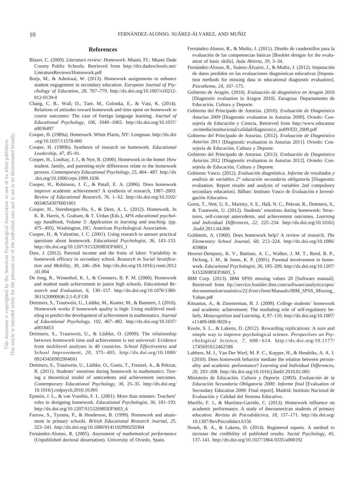#### **References**

- Blazer, C. (2009). *Literature review: Homework*. Miami, FL: Miami Dade County Public Schools. Retrieved from http://drs.dadeschools.net/ LiteratureReviews/Homework.pdf
- Buijs, M., & Admiraal, W. (2013). Homework assignments to enhance student engagement in secondary education. *European Journal of Psychology of Education, 28,* 767–779. http://dx.doi.org/10.1007/s10212- 012-0139-0
- Chang, C. B., Wall, D., Tare, M., Golonka, E., & Vatz, K. (2014). Relations of attitudes toward homework and time spent on homework to course outcomes: The case of foreign language learning. *Journal of Educational Psychology, 106,* 1049 –1065. http://dx.doi.org/10.1037/ a0036497
- Cooper, H. (1989a). *Homework*. White Plains, NY: Longman. http://dx.doi .org/10.1037/11578-000
- Cooper, H. (1989b). Synthesis of research on homework. *Educational Leadership, 47,* 85–91.
- Cooper, H., Lindsay, J. J., & Nye, B. (2000). Homework in the home: How student, family, and parenting-style differences relate to the homework process. *Contemporary Educational Psychology, 25,* 464 – 487. http://dx .doi.org/10.1006/ceps.1999.1036
- Cooper, H., Robinson, J. C., & Patall, E. A. (2006). Does homework improve academic achievement? A synthesis of research, 1987–2003. *Review of Educational Research, 76,* 1– 62. http://dx.doi.org/10.3102/ 00346543076001001
- Cooper, H., Steenbergen-Hu, S., & Dent, A. L. (2012). Homework. In K. R. Harris, S. Graham, & T. Urdan (Eds.), *APA educational psychology handbook, Volume 3: Application to learning and teaching*. (pp. 475– 495). Washington, DC: American Psychological Association.
- Cooper, H., & Valentine, J. C. (2001). Using research to answer practical questions about homework. *Educational Psychologist, 36,* 143–153. http://dx.doi.org/10.1207/S15326985EP3603\_1
- Daw, J. (2012). Parental income and the fruits of labor: Variability in homework efficacy in secondary school. *Research in Social Stratification and Mobility, 30,* 246 –264. http://dx.doi.org/10.1016/j.rssm.2012 .01.004
- De Jong, R., Westerhof, K. J., & Creemers, B. P. M. (2000). Homework and student math achievement in junior high schools. *Educational Research and Evaluation, 6,* 130 –157. http://dx.doi.org/10.1076/1380- 3611(200006)6:2;1-E;F130
- Dettmers, S., Trautwein, U., Lüdtke, M., Kunter, M., & Baumert, J. (2010). Homework works if homework quality is high: Using multilevel modeling to predict the development of achievement in mathematics. *Journal of Educational Psychology, 102,* 467– 482. http://dx.doi.org/10.1037/ a0018453
- Dettmers, S., Trautwein, U., & Lüdtke, O. (2009). The relationship between homework time and achievement is not universal: Evidence from multilevel analyses in 40 countries. *School Effectiveness and School Improvement, 20,* 375– 405. http://dx.doi.org/10.1080/ 09243450902904601
- Dettmers, S., Trautwein, U., Lüdtke, O., Goetz, T., Frenzel, A., & Pekrun, R. (2011). Students' emotions during homework in mathematics: Testing a theoretical model of antecedents and achievement outcomes. *Contemporary Educational Psychology, 36,* 25–35. http://dx.doi.org/ 10.1016/j.cedpsych.2010.10.001
- Epstein, J. L., & van Voorhis, F. L. (2001). More than minutes: Teachers' roles in designing homework. *Educational Psychologist, 36,* 181–193. http://dx.doi.org/10.1207/S15326985EP3603\_4
- Farrow, S., Tymms, P., & Henderson, B. (1999). Homework and attainment in primary schools. *British Educational Research Journal, 25,* 323–341. http://dx.doi.org/10.1080/0141192990250304
- Fernández-Alonso, R. (2005). *Assessment of mathematical performance* (Unpublished doctoral dissertation). University of Oviedo, Spain.
- Fernández-Alonso, R., & Muñiz, J. (2011). Diseño de cuadernillos para la evaluación de las competencias básicas [Booklet designs for the evaluation of basic skills]. *Aula Abierta, 39,* 3–34.
- Fernández-Alonso, R., Suárez-Álvarez, J., & Muñiz, J. (2012). Imputación de datos perdidos en las evaluaciones diagnósticas educativas [Imputation methods for missing data in educational diagnostic evaluation]. *Psicothema, 24,* 167–175.
- Gobierno de Aragón. (2010). *Evaluación de diagnóstico en Aragón* 2010 [Diagnostic evaluation in Aragon 2010]. Zaragoza: Departamento de Educación, Cultura y Deporte.
- Gobierno del Principado de Asturias. (2010). *Evaluación de Diagnóstico Asturias 2009* [Diagnostic evaluation in Asturias 2009]. Oviedo: Consejería de Educación y Ciencia. Retrieved from http://www.educastur .es/media/institucional/calidad/diagnostico\_ast09/ED\_2009.pdf
- Gobierno del Principado de Asturias. (2012). *Evaluación de Diagnóstico Asturias* 2011 [Diagnostic evaluation in Asturias 2011]. Oviedo: Consejería de Educación, Cultura y Deporte.
- Gobierno del Principado de Asturias. (2013). *Evaluación de Diagnóstico Asturias* 2012 [Diagnostic evaluation in Asturias 2012]. Oviedo: Consejería de Educación, Cultura y Deporte.
- Gobierno Vasco. (2012). *Evaluación diagnóstica. Informe de resultados y análisis de variables 2° educación secundaria obligatoria* [Diagnostic evaluation. Report results and analysis of variables 2nd compulsory secondary education]. Bilbao: Instituto Vasco de Evaluación e Investigación Educativa.
- Goetz, T., Nett, U. E., Martiny, S. E., Hall, N. C., Pekrun, R., Dettmers, S., & Trautwein, U. (2012). Students' emotions during homework: Structures, self-concept antecedents, and achievement outcomes. *Learning and Individual Differences, 22,* 225–234. http://dx.doi.org/10.1016/j .lindif.2011.04.006
- Goldstein, A. (1960). Does homework help? A review of research. *The Elementary School Journal, 60,* 212–224. http://dx.doi.org/10.1086/ 459804
- Hoover-Dempsey, K. V., Battiato, A. C., Walker, J. M. T., Reed, R. P., DeJong, J. M., & Jones, K. P. (2001). Parental involvement in homework. *Educational Psychologist, 36,* 195–209. http://dx.doi.org/10.1207/ S15326985EP3603\_5
- IBM Corp. (2013). IBM SPSS missing values 20 [Software manual]. Retrieved from ftp://service.boulder.ibm.com/software/analytics/spss/ documentation/statistics/22.0/en/client/Manuals/IBM\_SPSS\_Missing\_ Values.pdf
- Kitsantas, A., & Zimmerman, B. J. (2009). College students' homework and academic achievement: The mediating role of self-regulatory beliefs. *Metacognition and Learning, 4,* 97–110. http://dx.doi.org/10.1007/ s11409-008-9028-y
- Koole, S. L., & Lakens, D. (2012). Rewarding replications: A sure and simple way to improve psychological science. *Perspectives on Psychological Science, 7,* 608 – 614. http://dx.doi.org/10.1177/ 1745691612462586
- Lubbers, M. J., Van Der Werf, M. P. C., Kuyper, H., & Hendriks, A. A. J. (2010). Does homework behavior mediate the relation between personality and academic performance? *Learning and Individual Differences, 20,* 203–208. http://dx.doi.org/10.1016/j.lindif.2010.01.005
- Ministerio de Educación. *Cultura y Deporte*. (2003). *Evaluación de la Educación Secundaria Obligatoria 2000: Informe final* [Evaluation of Secondary Education 2000: Final report]. Madrid: Instituto Nacional de Evaluación y Calidad del Sistema Educativo.
- Murillo, F. J., & Martínez-Garrido, C. (2013). Homework influence on academic performance. A study of iberoamerican students of primary education. *Revista de Psicodidáctica, 18,* 157–171. http://dx.doi.org/ 10.1387/RevPsicodidact.6156
- Nosek, B. A., & Lakens, D. (2014). Registered reports. A method to increase the credibility of published results. *Social Psychology, 45,* 137–141. http://dx.doi.org/10.1027/1864-9335/a000192